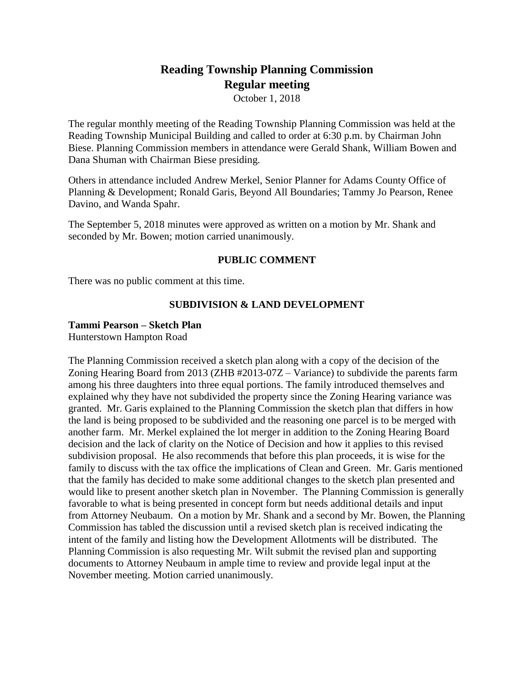# **Reading Township Planning Commission Regular meeting**

October 1, 2018

The regular monthly meeting of the Reading Township Planning Commission was held at the Reading Township Municipal Building and called to order at 6:30 p.m. by Chairman John Biese. Planning Commission members in attendance were Gerald Shank, William Bowen and Dana Shuman with Chairman Biese presiding.

Others in attendance included Andrew Merkel, Senior Planner for Adams County Office of Planning & Development; Ronald Garis, Beyond All Boundaries; Tammy Jo Pearson, Renee Davino, and Wanda Spahr.

The September 5, 2018 minutes were approved as written on a motion by Mr. Shank and seconded by Mr. Bowen; motion carried unanimously.

## **PUBLIC COMMENT**

There was no public comment at this time.

## **SUBDIVISION & LAND DEVELOPMENT**

#### **Tammi Pearson – Sketch Plan**

Hunterstown Hampton Road

The Planning Commission received a sketch plan along with a copy of the decision of the Zoning Hearing Board from 2013 (ZHB #2013-07Z – Variance) to subdivide the parents farm among his three daughters into three equal portions. The family introduced themselves and explained why they have not subdivided the property since the Zoning Hearing variance was granted. Mr. Garis explained to the Planning Commission the sketch plan that differs in how the land is being proposed to be subdivided and the reasoning one parcel is to be merged with another farm. Mr. Merkel explained the lot merger in addition to the Zoning Hearing Board decision and the lack of clarity on the Notice of Decision and how it applies to this revised subdivision proposal. He also recommends that before this plan proceeds, it is wise for the family to discuss with the tax office the implications of Clean and Green. Mr. Garis mentioned that the family has decided to make some additional changes to the sketch plan presented and would like to present another sketch plan in November. The Planning Commission is generally favorable to what is being presented in concept form but needs additional details and input from Attorney Neubaum. On a motion by Mr. Shank and a second by Mr. Bowen, the Planning Commission has tabled the discussion until a revised sketch plan is received indicating the intent of the family and listing how the Development Allotments will be distributed. The Planning Commission is also requesting Mr. Wilt submit the revised plan and supporting documents to Attorney Neubaum in ample time to review and provide legal input at the November meeting. Motion carried unanimously.